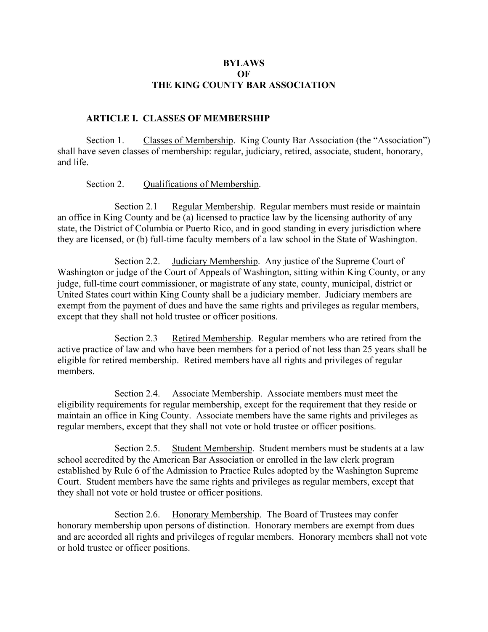### **BYLAWS OF THE KING COUNTY BAR ASSOCIATION**

### **ARTICLE I. CLASSES OF MEMBERSHIP**

Section 1. Classes of Membership. King County Bar Association (the "Association") shall have seven classes of membership: regular, judiciary, retired, associate, student, honorary, and life.

Section 2. Qualifications of Membership.

Section 2.1 Regular Membership. Regular members must reside or maintain an office in King County and be (a) licensed to practice law by the licensing authority of any state, the District of Columbia or Puerto Rico, and in good standing in every jurisdiction where they are licensed, or (b) full-time faculty members of a law school in the State of Washington.

Section 2.2. Judiciary Membership. Any justice of the Supreme Court of Washington or judge of the Court of Appeals of Washington, sitting within King County, or any judge, full-time court commissioner, or magistrate of any state, county, municipal, district or United States court within King County shall be a judiciary member. Judiciary members are exempt from the payment of dues and have the same rights and privileges as regular members, except that they shall not hold trustee or officer positions.

 Section 2.3 Retired Membership. Regular members who are retired from the active practice of law and who have been members for a period of not less than 25 years shall be eligible for retired membership. Retired members have all rights and privileges of regular members.

 Section 2.4. Associate Membership. Associate members must meet the eligibility requirements for regular membership, except for the requirement that they reside or maintain an office in King County. Associate members have the same rights and privileges as regular members, except that they shall not vote or hold trustee or officer positions.

 Section 2.5. Student Membership. Student members must be students at a law school accredited by the American Bar Association or enrolled in the law clerk program established by Rule 6 of the Admission to Practice Rules adopted by the Washington Supreme Court. Student members have the same rights and privileges as regular members, except that they shall not vote or hold trustee or officer positions.

 Section 2.6. Honorary Membership. The Board of Trustees may confer honorary membership upon persons of distinction. Honorary members are exempt from dues and are accorded all rights and privileges of regular members. Honorary members shall not vote or hold trustee or officer positions.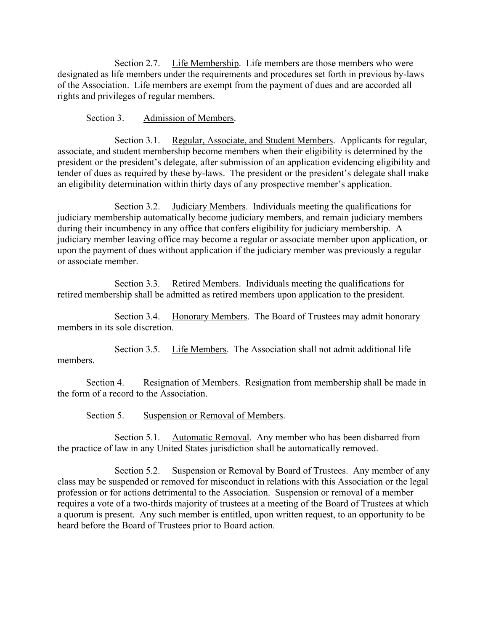Section 2.7. Life Membership. Life members are those members who were designated as life members under the requirements and procedures set forth in previous by-laws of the Association. Life members are exempt from the payment of dues and are accorded all rights and privileges of regular members.

Section 3. Admission of Members.

 Section 3.1. Regular, Associate, and Student Members. Applicants for regular, associate, and student membership become members when their eligibility is determined by the president or the president's delegate, after submission of an application evidencing eligibility and tender of dues as required by these by-laws. The president or the president's delegate shall make an eligibility determination within thirty days of any prospective member's application.

 Section 3.2. Judiciary Members. Individuals meeting the qualifications for judiciary membership automatically become judiciary members, and remain judiciary members during their incumbency in any office that confers eligibility for judiciary membership. A judiciary member leaving office may become a regular or associate member upon application, or upon the payment of dues without application if the judiciary member was previously a regular or associate member.

 Section 3.3. Retired Members. Individuals meeting the qualifications for retired membership shall be admitted as retired members upon application to the president.

 Section 3.4. Honorary Members. The Board of Trustees may admit honorary members in its sole discretion.

 Section 3.5. Life Members. The Association shall not admit additional life members.

 Section 4. Resignation of Members. Resignation from membership shall be made in the form of a record to the Association.

Section 5. Suspension or Removal of Members.

 Section 5.1. Automatic Removal. Any member who has been disbarred from the practice of law in any United States jurisdiction shall be automatically removed.

 Section 5.2. Suspension or Removal by Board of Trustees. Any member of any class may be suspended or removed for misconduct in relations with this Association or the legal profession or for actions detrimental to the Association. Suspension or removal of a member requires a vote of a two-thirds majority of trustees at a meeting of the Board of Trustees at which a quorum is present. Any such member is entitled, upon written request, to an opportunity to be heard before the Board of Trustees prior to Board action.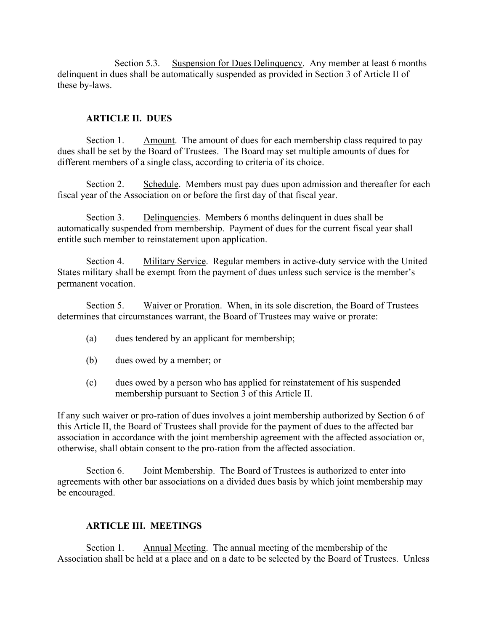Section 5.3. Suspension for Dues Delinquency. Any member at least 6 months delinquent in dues shall be automatically suspended as provided in Section 3 of Article II of these by-laws.

# **ARTICLE II. DUES**

Section 1. Amount. The amount of dues for each membership class required to pay dues shall be set by the Board of Trustees. The Board may set multiple amounts of dues for different members of a single class, according to criteria of its choice.

Section 2. Schedule. Members must pay dues upon admission and thereafter for each fiscal year of the Association on or before the first day of that fiscal year.

 Section 3. Delinquencies. Members 6 months delinquent in dues shall be automatically suspended from membership. Payment of dues for the current fiscal year shall entitle such member to reinstatement upon application.

 Section 4. Military Service. Regular members in active-duty service with the United States military shall be exempt from the payment of dues unless such service is the member's permanent vocation.

 Section 5. Waiver or Proration. When, in its sole discretion, the Board of Trustees determines that circumstances warrant, the Board of Trustees may waive or prorate:

- (a) dues tendered by an applicant for membership;
- (b) dues owed by a member; or
- (c) dues owed by a person who has applied for reinstatement of his suspended membership pursuant to Section 3 of this Article II.

If any such waiver or pro-ration of dues involves a joint membership authorized by Section 6 of this Article II, the Board of Trustees shall provide for the payment of dues to the affected bar association in accordance with the joint membership agreement with the affected association or, otherwise, shall obtain consent to the pro-ration from the affected association.

 Section 6. Joint Membership. The Board of Trustees is authorized to enter into agreements with other bar associations on a divided dues basis by which joint membership may be encouraged.

# **ARTICLE III. MEETINGS**

 Section 1. Annual Meeting. The annual meeting of the membership of the Association shall be held at a place and on a date to be selected by the Board of Trustees. Unless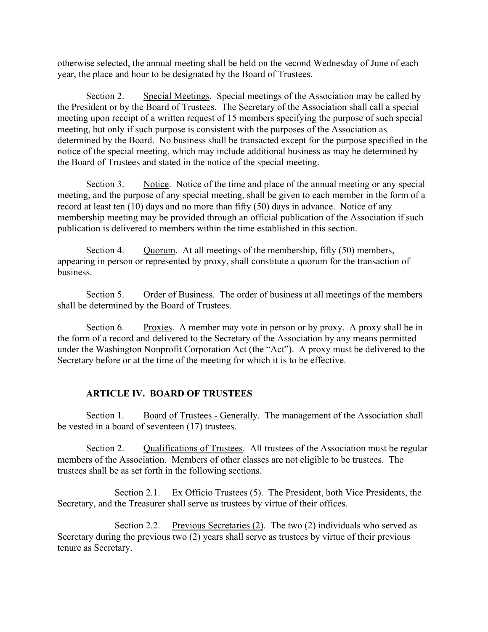otherwise selected, the annual meeting shall be held on the second Wednesday of June of each year, the place and hour to be designated by the Board of Trustees.

Section 2. Special Meetings. Special meetings of the Association may be called by the President or by the Board of Trustees. The Secretary of the Association shall call a special meeting upon receipt of a written request of 15 members specifying the purpose of such special meeting, but only if such purpose is consistent with the purposes of the Association as determined by the Board. No business shall be transacted except for the purpose specified in the notice of the special meeting, which may include additional business as may be determined by the Board of Trustees and stated in the notice of the special meeting.

Section 3. Notice. Notice of the time and place of the annual meeting or any special meeting, and the purpose of any special meeting, shall be given to each member in the form of a record at least ten (10) days and no more than fifty (50) days in advance. Notice of any membership meeting may be provided through an official publication of the Association if such publication is delivered to members within the time established in this section.

Section 4. Quorum. At all meetings of the membership, fifty (50) members, appearing in person or represented by proxy, shall constitute a quorum for the transaction of business.

 Section 5. Order of Business. The order of business at all meetings of the members shall be determined by the Board of Trustees.

Section 6. Proxies. A member may vote in person or by proxy. A proxy shall be in the form of a record and delivered to the Secretary of the Association by any means permitted under the Washington Nonprofit Corporation Act (the "Act"). A proxy must be delivered to the Secretary before or at the time of the meeting for which it is to be effective.

### **ARTICLE IV. BOARD OF TRUSTEES**

Section 1. Board of Trustees - Generally. The management of the Association shall be vested in a board of seventeen (17) trustees.

Section 2. Qualifications of Trustees. All trustees of the Association must be regular members of the Association. Members of other classes are not eligible to be trustees. The trustees shall be as set forth in the following sections.

 Section 2.1. Ex Officio Trustees (5). The President, both Vice Presidents, the Secretary, and the Treasurer shall serve as trustees by virtue of their offices.

Section 2.2. Previous Secretaries (2). The two (2) individuals who served as Secretary during the previous two (2) years shall serve as trustees by virtue of their previous tenure as Secretary.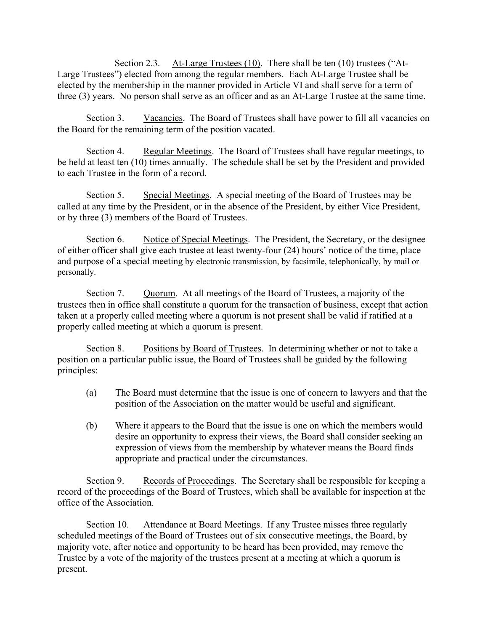Section 2.3. At-Large Trustees (10). There shall be ten (10) trustees ("At-Large Trustees") elected from among the regular members. Each At-Large Trustee shall be elected by the membership in the manner provided in Article VI and shall serve for a term of three (3) years. No person shall serve as an officer and as an At-Large Trustee at the same time.

Section 3. Vacancies. The Board of Trustees shall have power to fill all vacancies on the Board for the remaining term of the position vacated.

 Section 4. Regular Meetings. The Board of Trustees shall have regular meetings, to be held at least ten (10) times annually. The schedule shall be set by the President and provided to each Trustee in the form of a record.

Section 5. Special Meetings. A special meeting of the Board of Trustees may be called at any time by the President, or in the absence of the President, by either Vice President, or by three (3) members of the Board of Trustees.

Section 6. Notice of Special Meetings. The President, the Secretary, or the designee of either officer shall give each trustee at least twenty-four (24) hours' notice of the time, place and purpose of a special meeting by electronic transmission, by facsimile, telephonically, by mail or personally.

Section 7. Quorum. At all meetings of the Board of Trustees, a majority of the trustees then in office shall constitute a quorum for the transaction of business, except that action taken at a properly called meeting where a quorum is not present shall be valid if ratified at a properly called meeting at which a quorum is present.

 Section 8. Positions by Board of Trustees. In determining whether or not to take a position on a particular public issue, the Board of Trustees shall be guided by the following principles:

- (a) The Board must determine that the issue is one of concern to lawyers and that the position of the Association on the matter would be useful and significant.
- (b) Where it appears to the Board that the issue is one on which the members would desire an opportunity to express their views, the Board shall consider seeking an expression of views from the membership by whatever means the Board finds appropriate and practical under the circumstances.

Section 9. Records of Proceedings. The Secretary shall be responsible for keeping a record of the proceedings of the Board of Trustees, which shall be available for inspection at the office of the Association.

Section 10. Attendance at Board Meetings. If any Trustee misses three regularly scheduled meetings of the Board of Trustees out of six consecutive meetings, the Board, by majority vote, after notice and opportunity to be heard has been provided, may remove the Trustee by a vote of the majority of the trustees present at a meeting at which a quorum is present.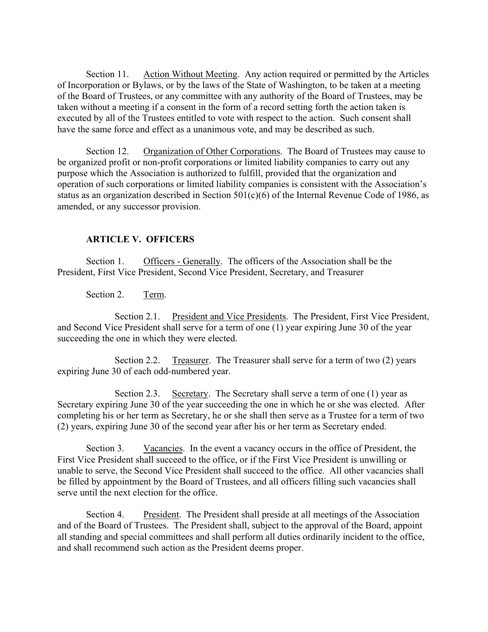Section 11. Action Without Meeting. Any action required or permitted by the Articles of Incorporation or Bylaws, or by the laws of the State of Washington, to be taken at a meeting of the Board of Trustees, or any committee with any authority of the Board of Trustees, may be taken without a meeting if a consent in the form of a record setting forth the action taken is executed by all of the Trustees entitled to vote with respect to the action. Such consent shall have the same force and effect as a unanimous vote, and may be described as such.

Section 12. Organization of Other Corporations. The Board of Trustees may cause to be organized profit or non-profit corporations or limited liability companies to carry out any purpose which the Association is authorized to fulfill, provided that the organization and operation of such corporations or limited liability companies is consistent with the Association's status as an organization described in Section 501(c)(6) of the Internal Revenue Code of 1986, as amended, or any successor provision.

# **ARTICLE V. OFFICERS**

Section 1. Officers - Generally. The officers of the Association shall be the President, First Vice President, Second Vice President, Secretary, and Treasurer

Section 2. Term.

 Section 2.1. President and Vice Presidents. The President, First Vice President, and Second Vice President shall serve for a term of one (1) year expiring June 30 of the year succeeding the one in which they were elected.

Section 2.2. Treasurer. The Treasurer shall serve for a term of two (2) years expiring June 30 of each odd-numbered year.

 Section 2.3. Secretary. The Secretary shall serve a term of one (1) year as Secretary expiring June 30 of the year succeeding the one in which he or she was elected. After completing his or her term as Secretary, he or she shall then serve as a Trustee for a term of two (2) years, expiring June 30 of the second year after his or her term as Secretary ended.

 Section 3. Vacancies. In the event a vacancy occurs in the office of President, the First Vice President shall succeed to the office, or if the First Vice President is unwilling or unable to serve, the Second Vice President shall succeed to the office. All other vacancies shall be filled by appointment by the Board of Trustees, and all officers filling such vacancies shall serve until the next election for the office.

 Section 4. President. The President shall preside at all meetings of the Association and of the Board of Trustees. The President shall, subject to the approval of the Board, appoint all standing and special committees and shall perform all duties ordinarily incident to the office, and shall recommend such action as the President deems proper.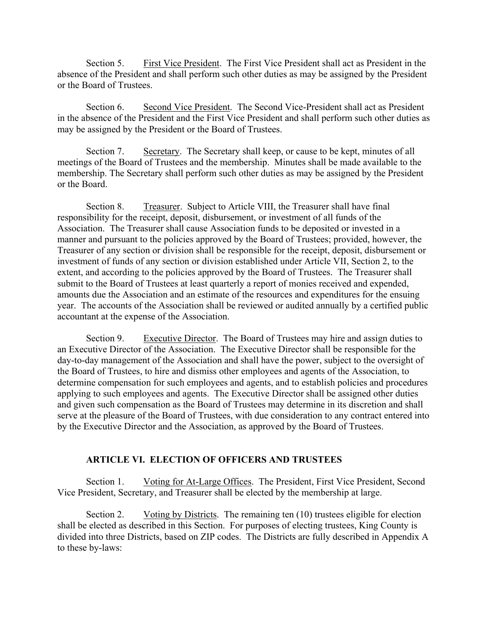Section 5. First Vice President. The First Vice President shall act as President in the absence of the President and shall perform such other duties as may be assigned by the President or the Board of Trustees.

Section 6. Second Vice President. The Second Vice-President shall act as President in the absence of the President and the First Vice President and shall perform such other duties as may be assigned by the President or the Board of Trustees.

 Section 7. Secretary. The Secretary shall keep, or cause to be kept, minutes of all meetings of the Board of Trustees and the membership. Minutes shall be made available to the membership. The Secretary shall perform such other duties as may be assigned by the President or the Board.

 Section 8. Treasurer. Subject to Article VIII, the Treasurer shall have final responsibility for the receipt, deposit, disbursement, or investment of all funds of the Association. The Treasurer shall cause Association funds to be deposited or invested in a manner and pursuant to the policies approved by the Board of Trustees; provided, however, the Treasurer of any section or division shall be responsible for the receipt, deposit, disbursement or investment of funds of any section or division established under Article VII, Section 2, to the extent, and according to the policies approved by the Board of Trustees. The Treasurer shall submit to the Board of Trustees at least quarterly a report of monies received and expended, amounts due the Association and an estimate of the resources and expenditures for the ensuing year. The accounts of the Association shall be reviewed or audited annually by a certified public accountant at the expense of the Association.

 Section 9. Executive Director. The Board of Trustees may hire and assign duties to an Executive Director of the Association. The Executive Director shall be responsible for the day-to-day management of the Association and shall have the power, subject to the oversight of the Board of Trustees, to hire and dismiss other employees and agents of the Association, to determine compensation for such employees and agents, and to establish policies and procedures applying to such employees and agents. The Executive Director shall be assigned other duties and given such compensation as the Board of Trustees may determine in its discretion and shall serve at the pleasure of the Board of Trustees, with due consideration to any contract entered into by the Executive Director and the Association, as approved by the Board of Trustees.

#### **ARTICLE VI. ELECTION OF OFFICERS AND TRUSTEES**

 Section 1. Voting for At-Large Offices. The President, First Vice President, Second Vice President, Secretary, and Treasurer shall be elected by the membership at large.

Section 2. Voting by Districts. The remaining ten (10) trustees eligible for election shall be elected as described in this Section. For purposes of electing trustees, King County is divided into three Districts, based on ZIP codes. The Districts are fully described in Appendix A to these by-laws: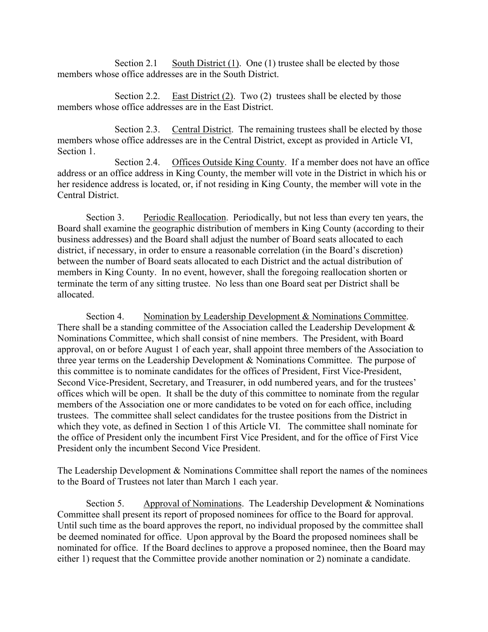Section 2.1 South District  $(1)$ . One  $(1)$  trustee shall be elected by those members whose office addresses are in the South District.

Section 2.2. East District  $(2)$ . Two  $(2)$  trustees shall be elected by those members whose office addresses are in the East District.

 Section 2.3. Central District. The remaining trustees shall be elected by those members whose office addresses are in the Central District, except as provided in Article VI, Section 1.

 Section 2.4. Offices Outside King County. If a member does not have an office address or an office address in King County, the member will vote in the District in which his or her residence address is located, or, if not residing in King County, the member will vote in the Central District.

Section 3. Periodic Reallocation. Periodically, but not less than every ten years, the Board shall examine the geographic distribution of members in King County (according to their business addresses) and the Board shall adjust the number of Board seats allocated to each district, if necessary, in order to ensure a reasonable correlation (in the Board's discretion) between the number of Board seats allocated to each District and the actual distribution of members in King County. In no event, however, shall the foregoing reallocation shorten or terminate the term of any sitting trustee. No less than one Board seat per District shall be allocated.

 Section 4. Nomination by Leadership Development & Nominations Committee. There shall be a standing committee of the Association called the Leadership Development  $\&$ Nominations Committee, which shall consist of nine members. The President, with Board approval, on or before August 1 of each year, shall appoint three members of the Association to three year terms on the Leadership Development & Nominations Committee. The purpose of this committee is to nominate candidates for the offices of President, First Vice-President, Second Vice-President, Secretary, and Treasurer, in odd numbered years, and for the trustees' offices which will be open. It shall be the duty of this committee to nominate from the regular members of the Association one or more candidates to be voted on for each office, including trustees. The committee shall select candidates for the trustee positions from the District in which they vote, as defined in Section 1 of this Article VI. The committee shall nominate for the office of President only the incumbent First Vice President, and for the office of First Vice President only the incumbent Second Vice President.

The Leadership Development & Nominations Committee shall report the names of the nominees to the Board of Trustees not later than March 1 each year.

Section 5. Approval of Nominations. The Leadership Development & Nominations Committee shall present its report of proposed nominees for office to the Board for approval. Until such time as the board approves the report, no individual proposed by the committee shall be deemed nominated for office. Upon approval by the Board the proposed nominees shall be nominated for office. If the Board declines to approve a proposed nominee, then the Board may either 1) request that the Committee provide another nomination or 2) nominate a candidate.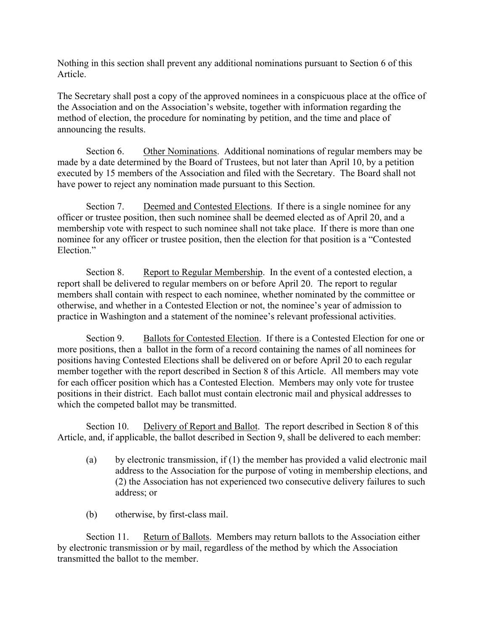Nothing in this section shall prevent any additional nominations pursuant to Section 6 of this Article.

The Secretary shall post a copy of the approved nominees in a conspicuous place at the office of the Association and on the Association's website, together with information regarding the method of election, the procedure for nominating by petition, and the time and place of announcing the results.

 Section 6. Other Nominations. Additional nominations of regular members may be made by a date determined by the Board of Trustees, but not later than April 10, by a petition executed by 15 members of the Association and filed with the Secretary. The Board shall not have power to reject any nomination made pursuant to this Section.

 Section 7. Deemed and Contested Elections. If there is a single nominee for any officer or trustee position, then such nominee shall be deemed elected as of April 20, and a membership vote with respect to such nominee shall not take place. If there is more than one nominee for any officer or trustee position, then the election for that position is a "Contested Election."

Section 8. Report to Regular Membership. In the event of a contested election, a report shall be delivered to regular members on or before April 20. The report to regular members shall contain with respect to each nominee, whether nominated by the committee or otherwise, and whether in a Contested Election or not, the nominee's year of admission to practice in Washington and a statement of the nominee's relevant professional activities.

Section 9. Ballots for Contested Election. If there is a Contested Election for one or more positions, then a ballot in the form of a record containing the names of all nominees for positions having Contested Elections shall be delivered on or before April 20 to each regular member together with the report described in Section 8 of this Article. All members may vote for each officer position which has a Contested Election. Members may only vote for trustee positions in their district. Each ballot must contain electronic mail and physical addresses to which the competed ballot may be transmitted.

 Section 10. Delivery of Report and Ballot. The report described in Section 8 of this Article, and, if applicable, the ballot described in Section 9, shall be delivered to each member:

- (a) by electronic transmission, if (1) the member has provided a valid electronic mail address to the Association for the purpose of voting in membership elections, and (2) the Association has not experienced two consecutive delivery failures to such address; or
- (b) otherwise, by first-class mail.

Section 11. Return of Ballots. Members may return ballots to the Association either by electronic transmission or by mail, regardless of the method by which the Association transmitted the ballot to the member.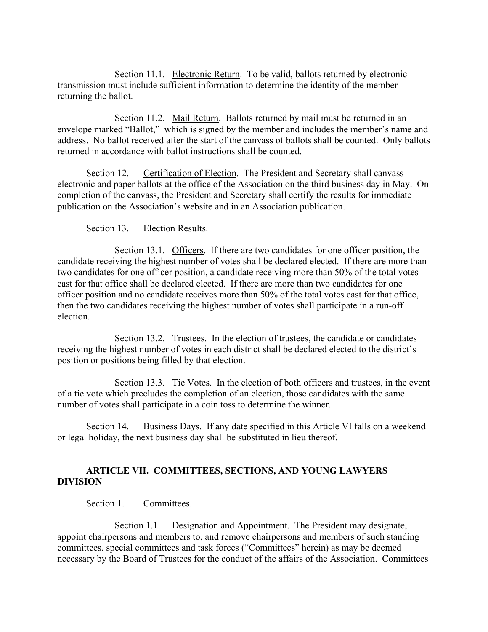Section 11.1. Electronic Return. To be valid, ballots returned by electronic transmission must include sufficient information to determine the identity of the member returning the ballot.

Section 11.2. Mail Return. Ballots returned by mail must be returned in an envelope marked "Ballot," which is signed by the member and includes the member's name and address. No ballot received after the start of the canvass of ballots shall be counted. Only ballots returned in accordance with ballot instructions shall be counted.

Section 12. Certification of Election. The President and Secretary shall canvass electronic and paper ballots at the office of the Association on the third business day in May. On completion of the canvass, the President and Secretary shall certify the results for immediate publication on the Association's website and in an Association publication.

# Section 13. Election Results.

 Section 13.1. Officers. If there are two candidates for one officer position, the candidate receiving the highest number of votes shall be declared elected. If there are more than two candidates for one officer position, a candidate receiving more than 50% of the total votes cast for that office shall be declared elected. If there are more than two candidates for one officer position and no candidate receives more than 50% of the total votes cast for that office, then the two candidates receiving the highest number of votes shall participate in a run-off election.

Section 13.2. Trustees. In the election of trustees, the candidate or candidates receiving the highest number of votes in each district shall be declared elected to the district's position or positions being filled by that election.

 Section 13.3. Tie Votes. In the election of both officers and trustees, in the event of a tie vote which precludes the completion of an election, those candidates with the same number of votes shall participate in a coin toss to determine the winner.

 Section 14. Business Days. If any date specified in this Article VI falls on a weekend or legal holiday, the next business day shall be substituted in lieu thereof.

# **ARTICLE VII. COMMITTEES, SECTIONS, AND YOUNG LAWYERS DIVISION**

Section 1. Committees.

Section 1.1 Designation and Appointment. The President may designate, appoint chairpersons and members to, and remove chairpersons and members of such standing committees, special committees and task forces ("Committees" herein) as may be deemed necessary by the Board of Trustees for the conduct of the affairs of the Association. Committees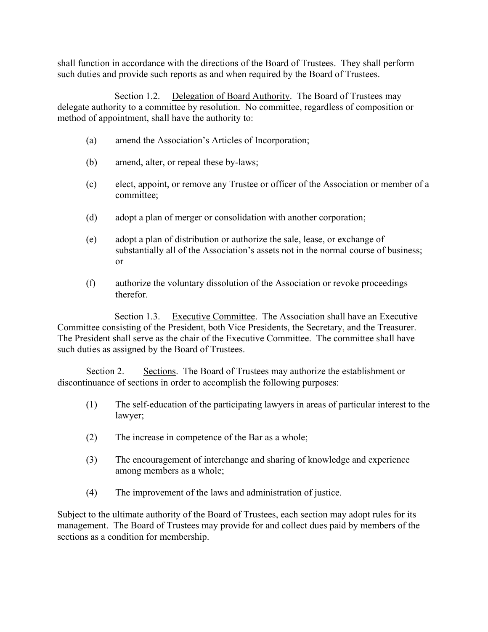shall function in accordance with the directions of the Board of Trustees. They shall perform such duties and provide such reports as and when required by the Board of Trustees.

Section 1.2. Delegation of Board Authority. The Board of Trustees may delegate authority to a committee by resolution. No committee, regardless of composition or method of appointment, shall have the authority to:

- (a) amend the Association's Articles of Incorporation;
- (b) amend, alter, or repeal these by-laws;
- (c) elect, appoint, or remove any Trustee or officer of the Association or member of a committee;
- (d) adopt a plan of merger or consolidation with another corporation;
- (e) adopt a plan of distribution or authorize the sale, lease, or exchange of substantially all of the Association's assets not in the normal course of business; or
- (f) authorize the voluntary dissolution of the Association or revoke proceedings therefor.

 Section 1.3. Executive Committee. The Association shall have an Executive Committee consisting of the President, both Vice Presidents, the Secretary, and the Treasurer. The President shall serve as the chair of the Executive Committee. The committee shall have such duties as assigned by the Board of Trustees.

 Section 2. Sections. The Board of Trustees may authorize the establishment or discontinuance of sections in order to accomplish the following purposes:

- (1) The self-education of the participating lawyers in areas of particular interest to the lawyer;
- (2) The increase in competence of the Bar as a whole;
- (3) The encouragement of interchange and sharing of knowledge and experience among members as a whole;
- (4) The improvement of the laws and administration of justice.

Subject to the ultimate authority of the Board of Trustees, each section may adopt rules for its management. The Board of Trustees may provide for and collect dues paid by members of the sections as a condition for membership.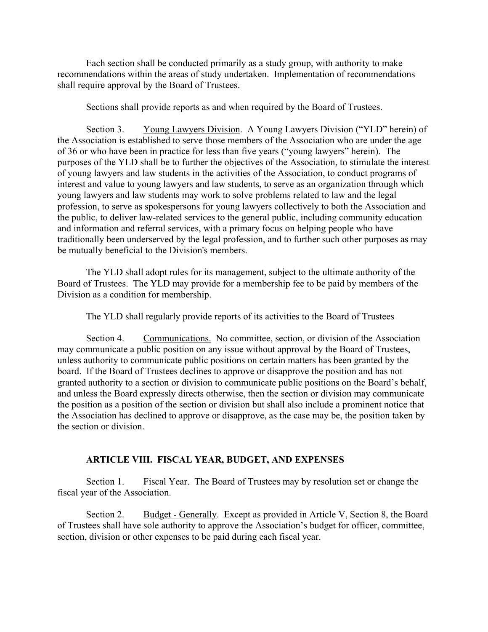Each section shall be conducted primarily as a study group, with authority to make recommendations within the areas of study undertaken. Implementation of recommendations shall require approval by the Board of Trustees.

Sections shall provide reports as and when required by the Board of Trustees.

 Section 3. Young Lawyers Division. A Young Lawyers Division ("YLD" herein) of the Association is established to serve those members of the Association who are under the age of 36 or who have been in practice for less than five years ("young lawyers" herein). The purposes of the YLD shall be to further the objectives of the Association, to stimulate the interest of young lawyers and law students in the activities of the Association, to conduct programs of interest and value to young lawyers and law students, to serve as an organization through which young lawyers and law students may work to solve problems related to law and the legal profession, to serve as spokespersons for young lawyers collectively to both the Association and the public, to deliver law-related services to the general public, including community education and information and referral services, with a primary focus on helping people who have traditionally been underserved by the legal profession, and to further such other purposes as may be mutually beneficial to the Division's members.

 The YLD shall adopt rules for its management, subject to the ultimate authority of the Board of Trustees. The YLD may provide for a membership fee to be paid by members of the Division as a condition for membership.

The YLD shall regularly provide reports of its activities to the Board of Trustees

 Section 4. Communications. No committee, section, or division of the Association may communicate a public position on any issue without approval by the Board of Trustees, unless authority to communicate public positions on certain matters has been granted by the board. If the Board of Trustees declines to approve or disapprove the position and has not granted authority to a section or division to communicate public positions on the Board's behalf, and unless the Board expressly directs otherwise, then the section or division may communicate the position as a position of the section or division but shall also include a prominent notice that the Association has declined to approve or disapprove, as the case may be, the position taken by the section or division.

#### **ARTICLE VIII. FISCAL YEAR, BUDGET, AND EXPENSES**

Section 1. Fiscal Year. The Board of Trustees may by resolution set or change the fiscal year of the Association.

Section 2. Budget - Generally. Except as provided in Article V, Section 8, the Board of Trustees shall have sole authority to approve the Association's budget for officer, committee, section, division or other expenses to be paid during each fiscal year.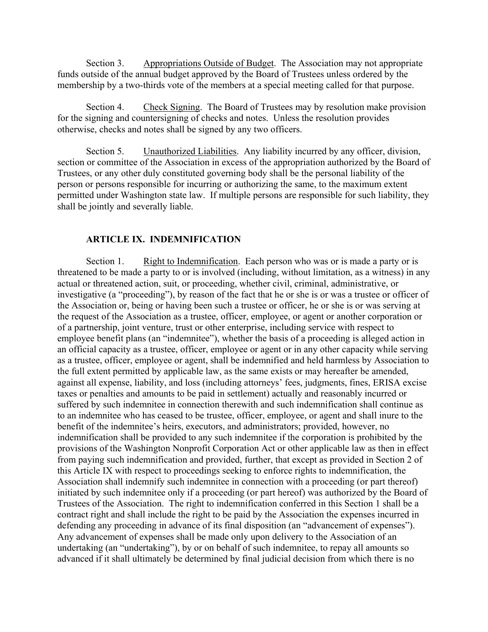Section 3. Appropriations Outside of Budget. The Association may not appropriate funds outside of the annual budget approved by the Board of Trustees unless ordered by the membership by a two-thirds vote of the members at a special meeting called for that purpose.

Section 4. Check Signing. The Board of Trustees may by resolution make provision for the signing and countersigning of checks and notes. Unless the resolution provides otherwise, checks and notes shall be signed by any two officers.

Section 5. Unauthorized Liabilities. Any liability incurred by any officer, division, section or committee of the Association in excess of the appropriation authorized by the Board of Trustees, or any other duly constituted governing body shall be the personal liability of the person or persons responsible for incurring or authorizing the same, to the maximum extent permitted under Washington state law. If multiple persons are responsible for such liability, they shall be jointly and severally liable.

## **ARTICLE IX. INDEMNIFICATION**

Section 1. Right to Indemnification. Each person who was or is made a party or is threatened to be made a party to or is involved (including, without limitation, as a witness) in any actual or threatened action, suit, or proceeding, whether civil, criminal, administrative, or investigative (a "proceeding"), by reason of the fact that he or she is or was a trustee or officer of the Association or, being or having been such a trustee or officer, he or she is or was serving at the request of the Association as a trustee, officer, employee, or agent or another corporation or of a partnership, joint venture, trust or other enterprise, including service with respect to employee benefit plans (an "indemnitee"), whether the basis of a proceeding is alleged action in an official capacity as a trustee, officer, employee or agent or in any other capacity while serving as a trustee, officer, employee or agent, shall be indemnified and held harmless by Association to the full extent permitted by applicable law, as the same exists or may hereafter be amended, against all expense, liability, and loss (including attorneys' fees, judgments, fines, ERISA excise taxes or penalties and amounts to be paid in settlement) actually and reasonably incurred or suffered by such indemnitee in connection therewith and such indemnification shall continue as to an indemnitee who has ceased to be trustee, officer, employee, or agent and shall inure to the benefit of the indemnitee's heirs, executors, and administrators; provided, however, no indemnification shall be provided to any such indemnitee if the corporation is prohibited by the provisions of the Washington Nonprofit Corporation Act or other applicable law as then in effect from paying such indemnification and provided, further, that except as provided in Section 2 of this Article IX with respect to proceedings seeking to enforce rights to indemnification, the Association shall indemnify such indemnitee in connection with a proceeding (or part thereof) initiated by such indemnitee only if a proceeding (or part hereof) was authorized by the Board of Trustees of the Association. The right to indemnification conferred in this Section 1 shall be a contract right and shall include the right to be paid by the Association the expenses incurred in defending any proceeding in advance of its final disposition (an "advancement of expenses"). Any advancement of expenses shall be made only upon delivery to the Association of an undertaking (an "undertaking"), by or on behalf of such indemnitee, to repay all amounts so advanced if it shall ultimately be determined by final judicial decision from which there is no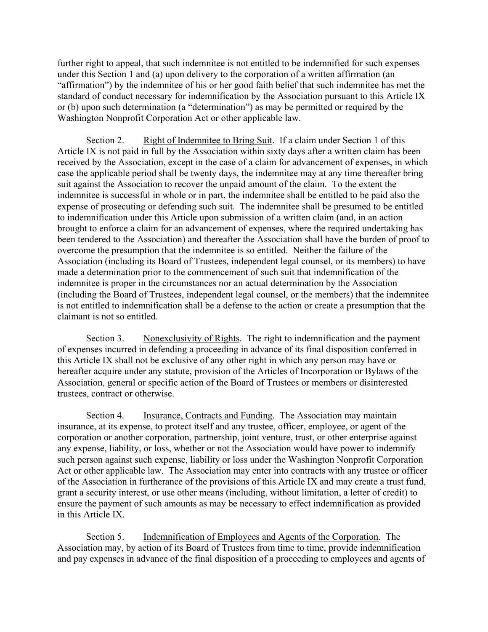further right to appeal, that such indemnitee is not entitled to be indemnified for such expenses under this Section 1 and (a) upon delivery to the corporation of a written affirmation (an "affirmation") by the indemnitee of his or her good faith belief that such indemnitee has met the standard of conduct necessary for indemnification by the Association pursuant to this Article IX or (b) upon such determination (a "determination") as may be permitted or required by the Washington Nonprofit Corporation Act or other applicable law.

Section 2. Right of Indemnitee to Bring Suit. If a claim under Section 1 of this Article IX is not paid in full by the Association within sixty days after a written claim has been received by the Association, except in the case of a claim for advancement of expenses, in which case the applicable period shall be twenty days, the indemnitee may at any time thereafter bring suit against the Association to recover the unpaid amount of the claim. To the extent the indemnitee is successful in whole or in part, the indemnitee shall be entitled to be paid also the expense of prosecuting or defending such suit. The indemnitee shall be presumed to be entitled to indemnification under this Article upon submission of a written claim (and, in an action brought to enforce a claim for an advancement of expenses, where the required undertaking has been tendered to the Association) and thereafter the Association shall have the burden of proof to overcome the presumption that the indemnitee is so entitled. Neither the failure of the Association (including its Board of Trustees, independent legal counsel, or its members) to have made a determination prior to the commencement of such suit that indemnification of the indemnitee is proper in the circumstances nor an actual determination by the Association (including the Board of Trustees, independent legal counsel, or the members) that the indemnitee is not entitled to indemnification shall be a defense to the action or create a presumption that the claimant is not so entitled.

 Section 3. Nonexclusivity of Rights. The right to indemnification and the payment of expenses incurred in defending a proceeding in advance of its final disposition conferred in this Article IX shall not be exclusive of any other right in which any person may have or hereafter acquire under any statute, provision of the Articles of Incorporation or Bylaws of the Association, general or specific action of the Board of Trustees or members or disinterested trustees, contract or otherwise.

 Section 4. Insurance, Contracts and Funding. The Association may maintain insurance, at its expense, to protect itself and any trustee, officer, employee, or agent of the corporation or another corporation, partnership, joint venture, trust, or other enterprise against any expense, liability, or loss, whether or not the Association would have power to indemnify such person against such expense, liability or loss under the Washington Nonprofit Corporation Act or other applicable law. The Association may enter into contracts with any trustee or officer of the Association in furtherance of the provisions of this Article IX and may create a trust fund, grant a security interest, or use other means (including, without limitation, a letter of credit) to ensure the payment of such amounts as may be necessary to effect indemnification as provided in this Article IX.

 Section 5. Indemnification of Employees and Agents of the Corporation. The Association may, by action of its Board of Trustees from time to time, provide indemnification and pay expenses in advance of the final disposition of a proceeding to employees and agents of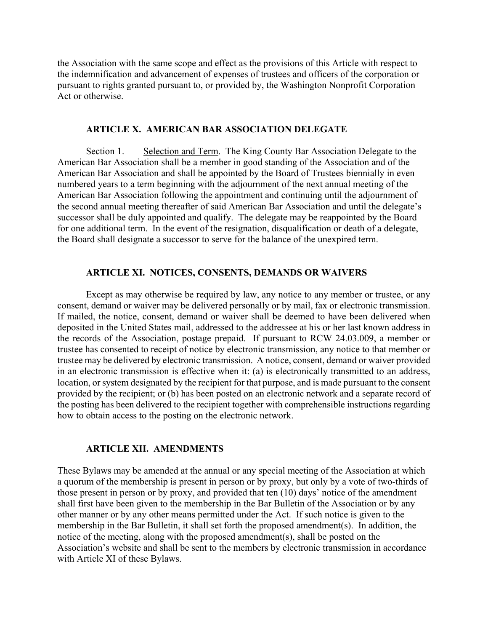the Association with the same scope and effect as the provisions of this Article with respect to the indemnification and advancement of expenses of trustees and officers of the corporation or pursuant to rights granted pursuant to, or provided by, the Washington Nonprofit Corporation Act or otherwise.

#### **ARTICLE X. AMERICAN BAR ASSOCIATION DELEGATE**

Section 1. Selection and Term. The King County Bar Association Delegate to the American Bar Association shall be a member in good standing of the Association and of the American Bar Association and shall be appointed by the Board of Trustees biennially in even numbered years to a term beginning with the adjournment of the next annual meeting of the American Bar Association following the appointment and continuing until the adjournment of the second annual meeting thereafter of said American Bar Association and until the delegate's successor shall be duly appointed and qualify. The delegate may be reappointed by the Board for one additional term. In the event of the resignation, disqualification or death of a delegate, the Board shall designate a successor to serve for the balance of the unexpired term.

### **ARTICLE XI. NOTICES, CONSENTS, DEMANDS OR WAIVERS**

 Except as may otherwise be required by law, any notice to any member or trustee, or any consent, demand or waiver may be delivered personally or by mail, fax or electronic transmission. If mailed, the notice, consent, demand or waiver shall be deemed to have been delivered when deposited in the United States mail, addressed to the addressee at his or her last known address in the records of the Association, postage prepaid. If pursuant to RCW 24.03.009, a member or trustee has consented to receipt of notice by electronic transmission, any notice to that member or trustee may be delivered by electronic transmission. A notice, consent, demand or waiver provided in an electronic transmission is effective when it: (a) is electronically transmitted to an address, location, or system designated by the recipient for that purpose, and is made pursuant to the consent provided by the recipient; or (b) has been posted on an electronic network and a separate record of the posting has been delivered to the recipient together with comprehensible instructions regarding how to obtain access to the posting on the electronic network.

#### **ARTICLE XII. AMENDMENTS**

These Bylaws may be amended at the annual or any special meeting of the Association at which a quorum of the membership is present in person or by proxy, but only by a vote of two-thirds of those present in person or by proxy, and provided that ten (10) days' notice of the amendment shall first have been given to the membership in the Bar Bulletin of the Association or by any other manner or by any other means permitted under the Act. If such notice is given to the membership in the Bar Bulletin, it shall set forth the proposed amendment(s). In addition, the notice of the meeting, along with the proposed amendment(s), shall be posted on the Association's website and shall be sent to the members by electronic transmission in accordance with Article XI of these Bylaws.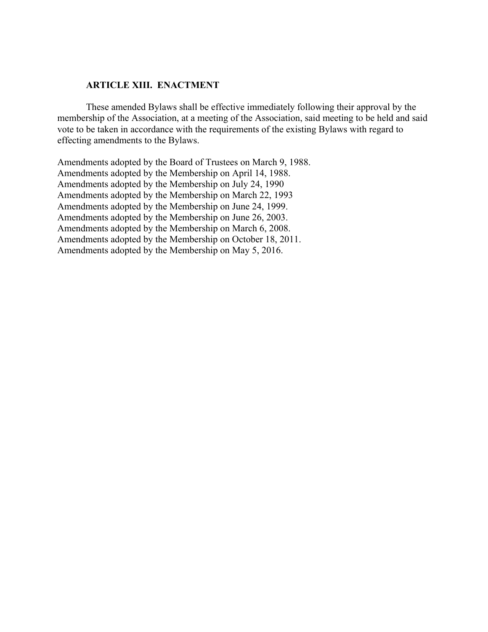# **ARTICLE XIII. ENACTMENT**

These amended Bylaws shall be effective immediately following their approval by the membership of the Association, at a meeting of the Association, said meeting to be held and said vote to be taken in accordance with the requirements of the existing Bylaws with regard to effecting amendments to the Bylaws.

Amendments adopted by the Board of Trustees on March 9, 1988. Amendments adopted by the Membership on April 14, 1988. Amendments adopted by the Membership on July 24, 1990 Amendments adopted by the Membership on March 22, 1993 Amendments adopted by the Membership on June 24, 1999. Amendments adopted by the Membership on June 26, 2003. Amendments adopted by the Membership on March 6, 2008. Amendments adopted by the Membership on October 18, 2011. Amendments adopted by the Membership on May 5, 2016.